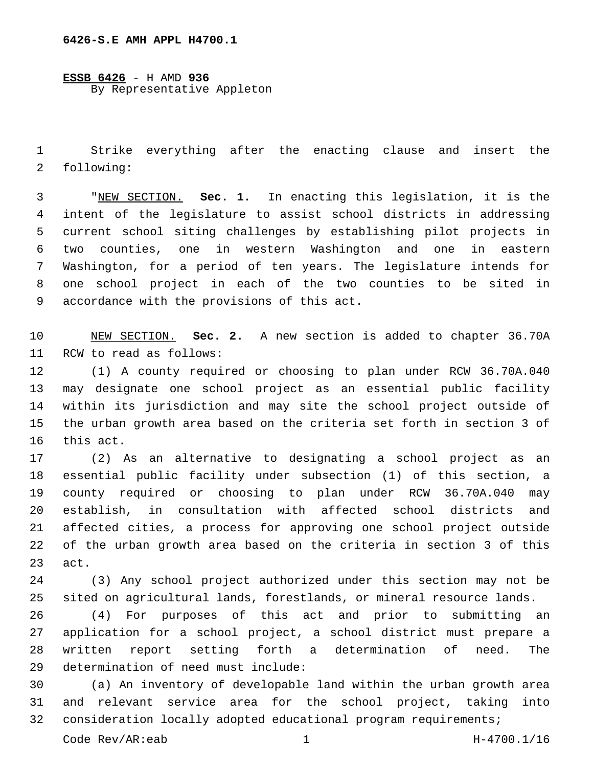**ESSB 6426** - H AMD **936** By Representative Appleton

 Strike everything after the enacting clause and insert the 2 following:

 "NEW SECTION. **Sec. 1.** In enacting this legislation, it is the intent of the legislature to assist school districts in addressing current school siting challenges by establishing pilot projects in two counties, one in western Washington and one in eastern Washington, for a period of ten years. The legislature intends for one school project in each of the two counties to be sited in accordance with the provisions of this act.

 NEW SECTION. **Sec. 2.** A new section is added to chapter 36.70A 11 RCW to read as follows:

 (1) A county required or choosing to plan under RCW 36.70A.040 may designate one school project as an essential public facility within its jurisdiction and may site the school project outside of the urban growth area based on the criteria set forth in section 3 of 16 this act.

 (2) As an alternative to designating a school project as an essential public facility under subsection (1) of this section, a county required or choosing to plan under RCW 36.70A.040 may establish, in consultation with affected school districts and affected cities, a process for approving one school project outside of the urban growth area based on the criteria in section 3 of this act.

 (3) Any school project authorized under this section may not be sited on agricultural lands, forestlands, or mineral resource lands.

 (4) For purposes of this act and prior to submitting an application for a school project, a school district must prepare a written report setting forth a determination of need. The 29 determination of need must include:

 (a) An inventory of developable land within the urban growth area and relevant service area for the school project, taking into consideration locally adopted educational program requirements;

Code Rev/AR:eab 1 H-4700.1/16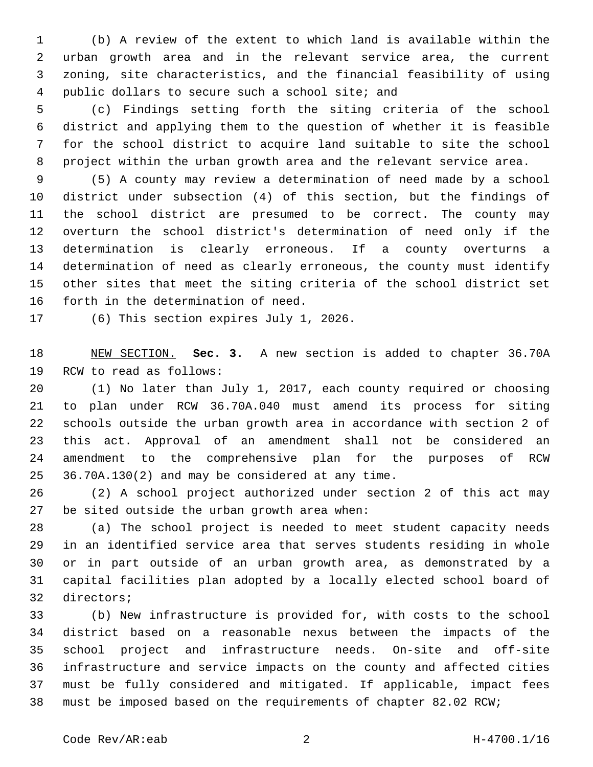(b) A review of the extent to which land is available within the urban growth area and in the relevant service area, the current zoning, site characteristics, and the financial feasibility of using 4 public dollars to secure such a school site; and

 (c) Findings setting forth the siting criteria of the school district and applying them to the question of whether it is feasible for the school district to acquire land suitable to site the school project within the urban growth area and the relevant service area.

 (5) A county may review a determination of need made by a school district under subsection (4) of this section, but the findings of the school district are presumed to be correct. The county may overturn the school district's determination of need only if the determination is clearly erroneous. If a county overturns a determination of need as clearly erroneous, the county must identify other sites that meet the siting criteria of the school district set 16 forth in the determination of need.

17 (6) This section expires July 1, 2026.

 NEW SECTION. **Sec. 3.** A new section is added to chapter 36.70A 19 RCW to read as follows:

 (1) No later than July 1, 2017, each county required or choosing to plan under RCW 36.70A.040 must amend its process for siting schools outside the urban growth area in accordance with section 2 of this act. Approval of an amendment shall not be considered an amendment to the comprehensive plan for the purposes of RCW 25 36.70A.130(2) and may be considered at any time.

 (2) A school project authorized under section 2 of this act may be sited outside the urban growth area when:

 (a) The school project is needed to meet student capacity needs in an identified service area that serves students residing in whole or in part outside of an urban growth area, as demonstrated by a capital facilities plan adopted by a locally elected school board of 32 directors;

 (b) New infrastructure is provided for, with costs to the school district based on a reasonable nexus between the impacts of the school project and infrastructure needs. On-site and off-site infrastructure and service impacts on the county and affected cities must be fully considered and mitigated. If applicable, impact fees must be imposed based on the requirements of chapter 82.02 RCW;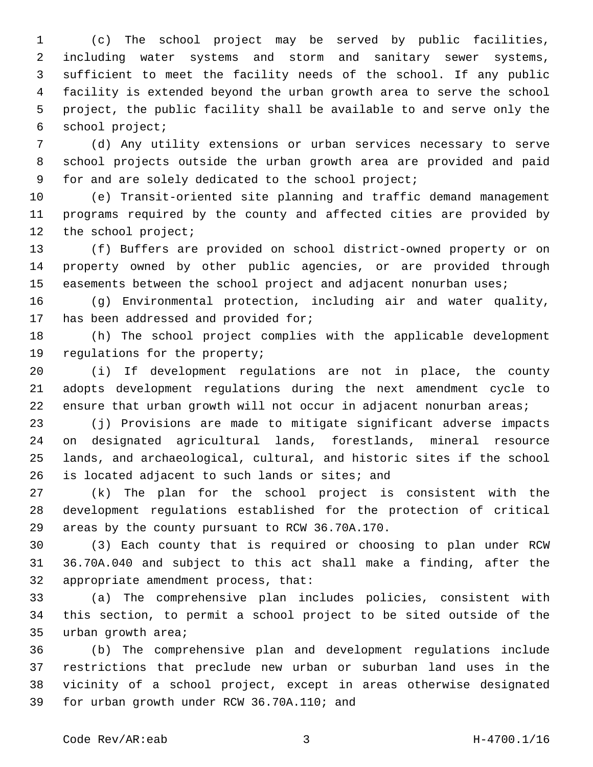(c) The school project may be served by public facilities, including water systems and storm and sanitary sewer systems, sufficient to meet the facility needs of the school. If any public facility is extended beyond the urban growth area to serve the school project, the public facility shall be available to and serve only the school project;6

 (d) Any utility extensions or urban services necessary to serve school projects outside the urban growth area are provided and paid for and are solely dedicated to the school project;

 (e) Transit-oriented site planning and traffic demand management programs required by the county and affected cities are provided by 12 the school project;

 (f) Buffers are provided on school district-owned property or on property owned by other public agencies, or are provided through 15 easements between the school project and adjacent nonurban uses;

 (g) Environmental protection, including air and water quality, 17 has been addressed and provided for;

 (h) The school project complies with the applicable development 19 regulations for the property;

 (i) If development regulations are not in place, the county adopts development regulations during the next amendment cycle to ensure that urban growth will not occur in adjacent nonurban areas;

 (j) Provisions are made to mitigate significant adverse impacts on designated agricultural lands, forestlands, mineral resource lands, and archaeological, cultural, and historic sites if the school 26 is located adjacent to such lands or sites; and

 (k) The plan for the school project is consistent with the development regulations established for the protection of critical 29 areas by the county pursuant to RCW 36.70A.170.

 (3) Each county that is required or choosing to plan under RCW 36.70A.040 and subject to this act shall make a finding, after the 32 appropriate amendment process, that:

 (a) The comprehensive plan includes policies, consistent with this section, to permit a school project to be sited outside of the 35 urban growth area;

 (b) The comprehensive plan and development regulations include restrictions that preclude new urban or suburban land uses in the vicinity of a school project, except in areas otherwise designated 39 for urban growth under RCW 36.70A.110; and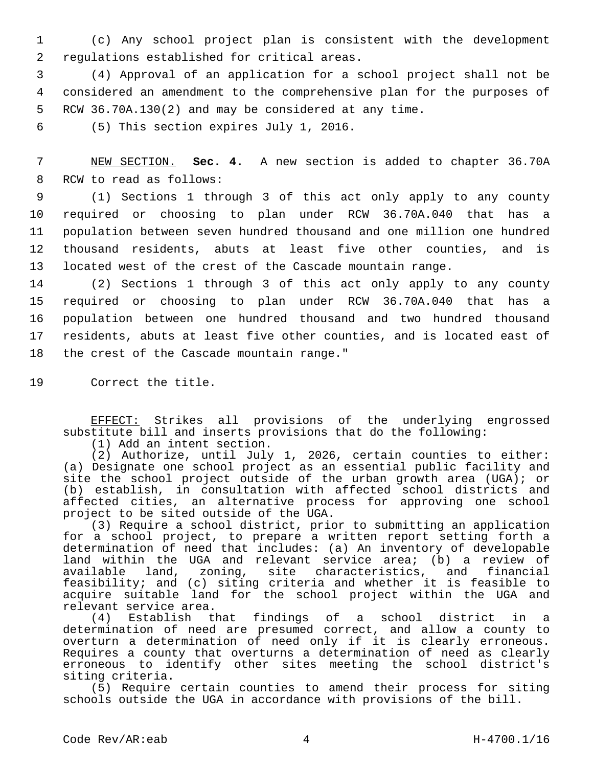1 (c) Any school project plan is consistent with the development 2 regulations established for critical areas.

3 (4) Approval of an application for a school project shall not be 4 considered an amendment to the comprehensive plan for the purposes of 5 RCW 36.70A.130(2) and may be considered at any time.

6 (5) This section expires July 1, 2016.

7 NEW SECTION. **Sec. 4.** A new section is added to chapter 36.70A 8 RCW to read as follows:

 (1) Sections 1 through 3 of this act only apply to any county required or choosing to plan under RCW 36.70A.040 that has a population between seven hundred thousand and one million one hundred thousand residents, abuts at least five other counties, and is located west of the crest of the Cascade mountain range.

 (2) Sections 1 through 3 of this act only apply to any county required or choosing to plan under RCW 36.70A.040 that has a population between one hundred thousand and two hundred thousand residents, abuts at least five other counties, and is located east of 18 the crest of the Cascade mountain range."

19 Correct the title.

EFFECT: Strikes all provisions of the underlying engrossed substitute bill and inserts provisions that do the following:

(1) Add an intent section.

(2) Authorize, until July 1, 2026, certain counties to either: (a) Designate one school project as an essential public facility and site the school project outside of the urban growth area (UGA); or (b) establish, in consultation with affected school districts and affected cities, an alternative process for approving one school project to be sited outside of the UGA.

(3) Require a school district, prior to submitting an application for a school project, to prepare a written report setting forth a determination of need that includes: (a) An inventory of developable land within the UGA and relevant service area; (b) a review of available land, zoning, site characteristics, and financial feasibility; and (c) siting criteria and whether it is feasible to acquire suitable land for the school project within the UGA and relevant service area.

(4) Establish that findings of a school district in a determination of need are presumed correct, and allow a county to overturn a determination of need only if it is clearly erroneous. Requires a county that overturns a determination of need as clearly erroneous to identify other sites meeting the school district's siting criteria.

(5) Require certain counties to amend their process for siting schools outside the UGA in accordance with provisions of the bill.